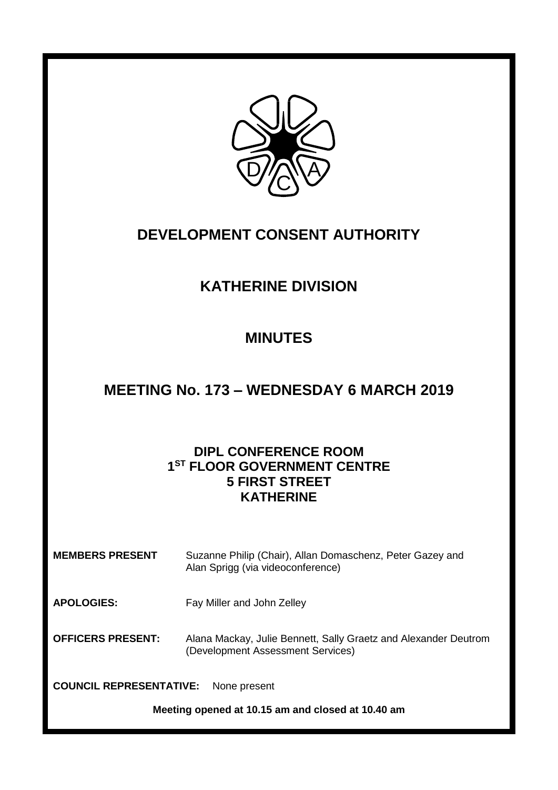

## **DEVELOPMENT CONSENT AUTHORITY**

# **KATHERINE DIVISION**

# **MINUTES**

## **MEETING No. 173 – WEDNESDAY 6 MARCH 2019**

## **DIPL CONFERENCE ROOM 1 ST FLOOR GOVERNMENT CENTRE 5 FIRST STREET KATHERINE**

**MEMBERS PRESENT** Suzanne Philip (Chair), Allan Domaschenz, Peter Gazey and Alan Sprigg (via videoconference)

**APOLOGIES:** Fay Miller and John Zelley

**OFFICERS PRESENT:** Alana Mackay, Julie Bennett, Sally Graetz and Alexander Deutrom (Development Assessment Services)

**COUNCIL REPRESENTATIVE:** None present

**Meeting opened at 10.15 am and closed at 10.40 am**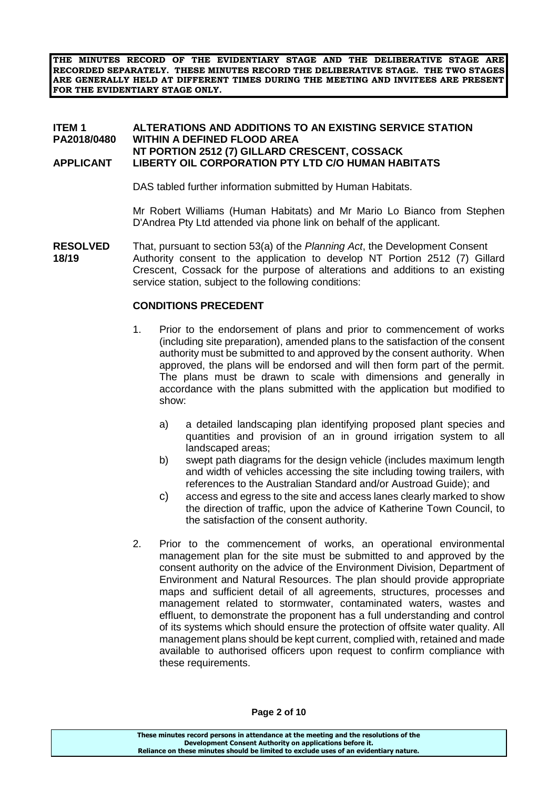**THE MINUTES RECORD OF THE EVIDENTIARY STAGE AND THE DELIBERATIVE STAGE ARE RECORDED SEPARATELY. THESE MINUTES RECORD THE DELIBERATIVE STAGE. THE TWO STAGES ARE GENERALLY HELD AT DIFFERENT TIMES DURING THE MEETING AND INVITEES ARE PRESENT FOR THE EVIDENTIARY STAGE ONLY.**

#### **ITEM 1 ALTERATIONS AND ADDITIONS TO AN EXISTING SERVICE STATION PA2018/0480 WITHIN A DEFINED FLOOD AREA NT PORTION 2512 (7) GILLARD CRESCENT, COSSACK APPLICANT LIBERTY OIL CORPORATION PTY LTD C/O HUMAN HABITATS**

DAS tabled further information submitted by Human Habitats.

Mr Robert Williams (Human Habitats) and Mr Mario Lo Bianco from Stephen D'Andrea Pty Ltd attended via phone link on behalf of the applicant.

**RESOLVED** That, pursuant to section 53(a) of the *Planning Act*, the Development Consent **18/19** Authority consent to the application to develop NT Portion 2512 (7) Gillard Crescent, Cossack for the purpose of alterations and additions to an existing service station, subject to the following conditions:

#### **CONDITIONS PRECEDENT**

- 1. Prior to the endorsement of plans and prior to commencement of works (including site preparation), amended plans to the satisfaction of the consent authority must be submitted to and approved by the consent authority. When approved, the plans will be endorsed and will then form part of the permit. The plans must be drawn to scale with dimensions and generally in accordance with the plans submitted with the application but modified to show:
	- a) a detailed landscaping plan identifying proposed plant species and quantities and provision of an in ground irrigation system to all landscaped areas;
	- b) swept path diagrams for the design vehicle (includes maximum length and width of vehicles accessing the site including towing trailers, with references to the Australian Standard and/or Austroad Guide); and
	- c) access and egress to the site and access lanes clearly marked to show the direction of traffic, upon the advice of Katherine Town Council, to the satisfaction of the consent authority.
- 2. Prior to the commencement of works, an operational environmental management plan for the site must be submitted to and approved by the consent authority on the advice of the Environment Division, Department of Environment and Natural Resources. The plan should provide appropriate maps and sufficient detail of all agreements, structures, processes and management related to stormwater, contaminated waters, wastes and effluent, to demonstrate the proponent has a full understanding and control of its systems which should ensure the protection of offsite water quality. All management plans should be kept current, complied with, retained and made available to authorised officers upon request to confirm compliance with these requirements.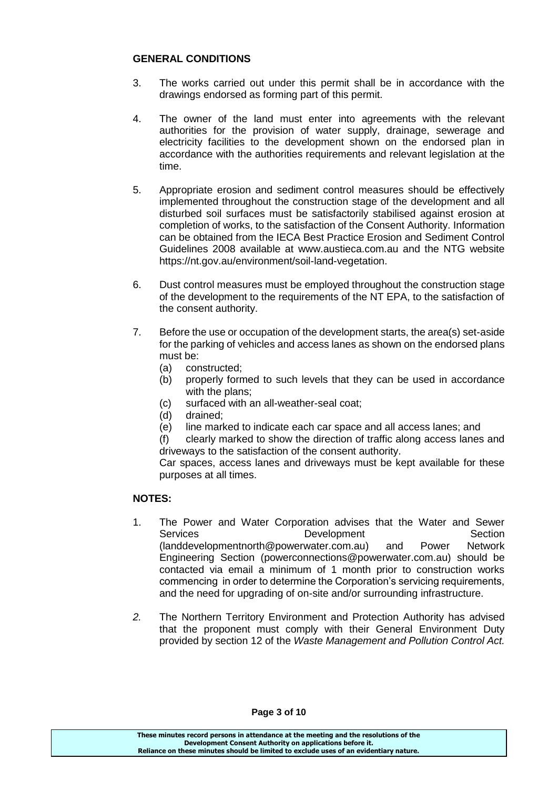#### **GENERAL CONDITIONS**

- 3. The works carried out under this permit shall be in accordance with the drawings endorsed as forming part of this permit.
- 4. The owner of the land must enter into agreements with the relevant authorities for the provision of water supply, drainage, sewerage and electricity facilities to the development shown on the endorsed plan in accordance with the authorities requirements and relevant legislation at the time.
- 5. Appropriate erosion and sediment control measures should be effectively implemented throughout the construction stage of the development and all disturbed soil surfaces must be satisfactorily stabilised against erosion at completion of works, to the satisfaction of the Consent Authority. Information can be obtained from the IECA Best Practice Erosion and Sediment Control Guidelines 2008 available at [www.austieca.com.au](http://www.austieca.com.au/) and the NTG website [https://nt.gov.au/environment/soil-land-vegetation.](https://nt.gov.au/environment/soil-land-vegetation)
- 6. Dust control measures must be employed throughout the construction stage of the development to the requirements of the NT EPA, to the satisfaction of the consent authority.
- 7. Before the use or occupation of the development starts, the area(s) set-aside for the parking of vehicles and access lanes as shown on the endorsed plans must be:
	- (a) constructed;
	- (b) properly formed to such levels that they can be used in accordance with the plans:
	- (c) surfaced with an all-weather-seal coat;
	- (d) drained;
	- (e) line marked to indicate each car space and all access lanes; and

(f) clearly marked to show the direction of traffic along access lanes and driveways to the satisfaction of the consent authority.

Car spaces, access lanes and driveways must be kept available for these purposes at all times.

#### **NOTES:**

- 1. The Power and Water Corporation advises that the Water and Sewer Services **Development** Development Section [\(landdevelopmentnorth@powerwater.com.au\)](mailto:landdevelopmentnorth@powerwater.com.au) and Power Network Engineering Section [\(powerconnections@powerwater.com.au\)](mailto:powerconnections@powerwater.com.au) should be contacted via email a minimum of 1 month prior to construction works commencing in order to determine the Corporation's servicing requirements, and the need for upgrading of on-site and/or surrounding infrastructure.
- *2.* The Northern Territory Environment and Protection Authority has advised that the proponent must comply with their General Environment Duty provided by section 12 of the *Waste Management and Pollution Control Act.*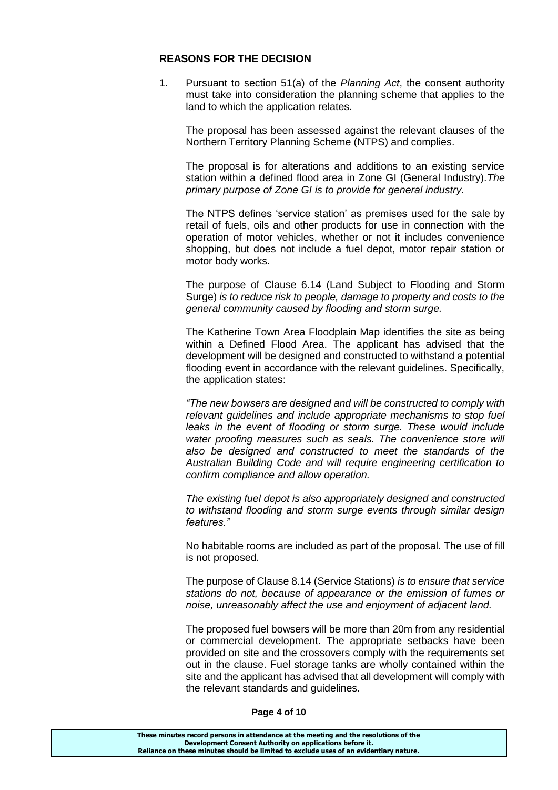#### **REASONS FOR THE DECISION**

1. Pursuant to section 51(a) of the *Planning Act*, the consent authority must take into consideration the planning scheme that applies to the land to which the application relates.

The proposal has been assessed against the relevant clauses of the Northern Territory Planning Scheme (NTPS) and complies.

The proposal is for alterations and additions to an existing service station within a defined flood area in Zone GI (General Industry).*The primary purpose of Zone GI is to provide for general industry.*

The NTPS defines 'service station' as premises used for the sale by retail of fuels, oils and other products for use in connection with the operation of motor vehicles, whether or not it includes convenience shopping, but does not include a fuel depot, motor repair station or motor body works.

The purpose of Clause 6.14 (Land Subject to Flooding and Storm Surge) *is to reduce risk to people, damage to property and costs to the general community caused by flooding and storm surge.* 

The Katherine Town Area Floodplain Map identifies the site as being within a Defined Flood Area. The applicant has advised that the development will be designed and constructed to withstand a potential flooding event in accordance with the relevant guidelines. Specifically, the application states:

*"The new bowsers are designed and will be constructed to comply with relevant guidelines and include appropriate mechanisms to stop fuel*  leaks in the event of flooding or storm surge. These would include *water proofing measures such as seals. The convenience store will also be designed and constructed to meet the standards of the Australian Building Code and will require engineering certification to confirm compliance and allow operation.*

*The existing fuel depot is also appropriately designed and constructed to withstand flooding and storm surge events through similar design features."*

No habitable rooms are included as part of the proposal. The use of fill is not proposed.

The purpose of Clause 8.14 (Service Stations) *is to ensure that service stations do not, because of appearance or the emission of fumes or noise, unreasonably affect the use and enjoyment of adjacent land.*

The proposed fuel bowsers will be more than 20m from any residential or commercial development. The appropriate setbacks have been provided on site and the crossovers comply with the requirements set out in the clause. Fuel storage tanks are wholly contained within the site and the applicant has advised that all development will comply with the relevant standards and guidelines.

#### **Page 4 of 10**

| These minutes record persons in attendance at the meeting and the resolutions of the  |  |
|---------------------------------------------------------------------------------------|--|
| Development Consent Authority on applications before it.                              |  |
| Reliance on these minutes should be limited to exclude uses of an evidentiary nature. |  |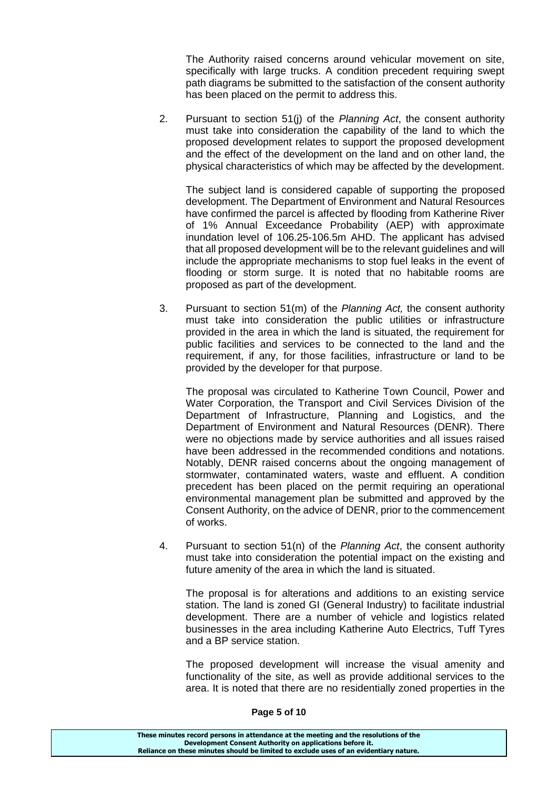The Authority raised concerns around vehicular movement on site, specifically with large trucks. A condition precedent requiring swept path diagrams be submitted to the satisfaction of the consent authority has been placed on the permit to address this.

2. Pursuant to section 51(j) of the *Planning Act*, the consent authority must take into consideration the capability of the land to which the proposed development relates to support the proposed development and the effect of the development on the land and on other land, the physical characteristics of which may be affected by the development.

The subject land is considered capable of supporting the proposed development. The Department of Environment and Natural Resources have confirmed the parcel is affected by flooding from Katherine River of 1% Annual Exceedance Probability (AEP) with approximate inundation level of 106.25-106.5m AHD. The applicant has advised that all proposed development will be to the relevant guidelines and will include the appropriate mechanisms to stop fuel leaks in the event of flooding or storm surge. It is noted that no habitable rooms are proposed as part of the development.

3. Pursuant to section 51(m) of the *Planning Act,* the consent authority must take into consideration the public utilities or infrastructure provided in the area in which the land is situated, the requirement for public facilities and services to be connected to the land and the requirement, if any, for those facilities, infrastructure or land to be provided by the developer for that purpose.

The proposal was circulated to Katherine Town Council, Power and Water Corporation, the Transport and Civil Services Division of the Department of Infrastructure, Planning and Logistics, and the Department of Environment and Natural Resources (DENR). There were no objections made by service authorities and all issues raised have been addressed in the recommended conditions and notations. Notably, DENR raised concerns about the ongoing management of stormwater, contaminated waters, waste and effluent. A condition precedent has been placed on the permit requiring an operational environmental management plan be submitted and approved by the Consent Authority, on the advice of DENR, prior to the commencement of works.

4. Pursuant to section 51(n) of the *Planning Act*, the consent authority must take into consideration the potential impact on the existing and future amenity of the area in which the land is situated.

The proposal is for alterations and additions to an existing service station. The land is zoned GI (General Industry) to facilitate industrial development. There are a number of vehicle and logistics related businesses in the area including Katherine Auto Electrics, Tuff Tyres and a BP service station.

The proposed development will increase the visual amenity and functionality of the site, as well as provide additional services to the area. It is noted that there are no residentially zoned properties in the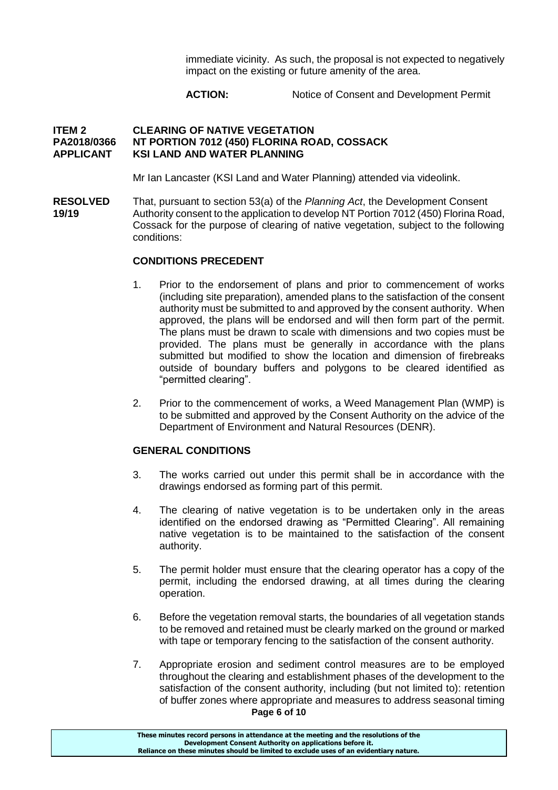immediate vicinity. As such, the proposal is not expected to negatively impact on the existing or future amenity of the area.

**ACTION:** Notice of Consent and Development Permit

#### **ITEM 2 CLEARING OF NATIVE VEGETATION PA2018/0366 NT PORTION 7012 (450) FLORINA ROAD, COSSACK APPLICANT KSI LAND AND WATER PLANNING**

Mr Ian Lancaster (KSI Land and Water Planning) attended via videolink.

**RESOLVED** That, pursuant to section 53(a) of the *Planning Act*, the Development Consent **19/19** Authority consent to the application to develop NT Portion 7012 (450) Florina Road, Cossack for the purpose of clearing of native vegetation, subject to the following conditions:

#### **CONDITIONS PRECEDENT**

- 1. Prior to the endorsement of plans and prior to commencement of works (including site preparation), amended plans to the satisfaction of the consent authority must be submitted to and approved by the consent authority. When approved, the plans will be endorsed and will then form part of the permit. The plans must be drawn to scale with dimensions and two copies must be provided. The plans must be generally in accordance with the plans submitted but modified to show the location and dimension of firebreaks outside of boundary buffers and polygons to be cleared identified as "permitted clearing".
- 2. Prior to the commencement of works, a Weed Management Plan (WMP) is to be submitted and approved by the Consent Authority on the advice of the Department of Environment and Natural Resources (DENR).

#### **GENERAL CONDITIONS**

- 3. The works carried out under this permit shall be in accordance with the drawings endorsed as forming part of this permit.
- 4. The clearing of native vegetation is to be undertaken only in the areas identified on the endorsed drawing as "Permitted Clearing". All remaining native vegetation is to be maintained to the satisfaction of the consent authority.
- 5. The permit holder must ensure that the clearing operator has a copy of the permit, including the endorsed drawing, at all times during the clearing operation.
- 6. Before the vegetation removal starts, the boundaries of all vegetation stands to be removed and retained must be clearly marked on the ground or marked with tape or temporary fencing to the satisfaction of the consent authority.
- **Page 6 of 10** 7. Appropriate erosion and sediment control measures are to be employed throughout the clearing and establishment phases of the development to the satisfaction of the consent authority, including (but not limited to): retention of buffer zones where appropriate and measures to address seasonal timing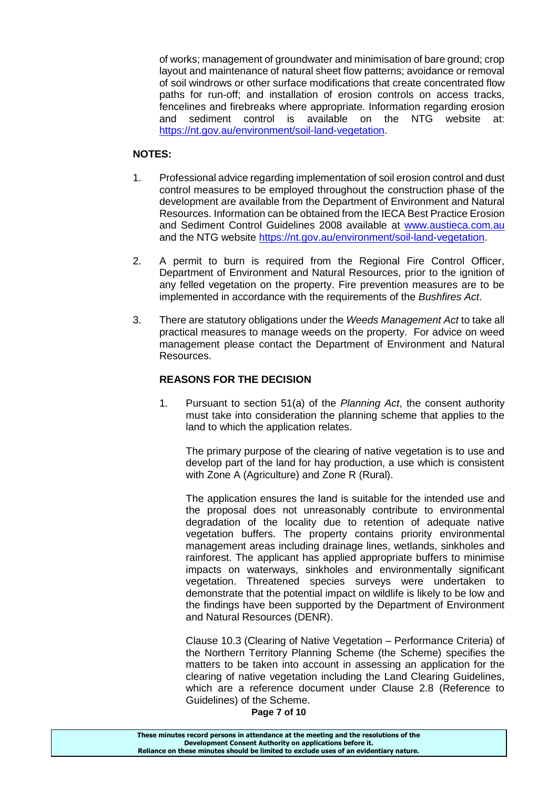of works; management of groundwater and minimisation of bare ground; crop layout and maintenance of natural sheet flow patterns; avoidance or removal of soil windrows or other surface modifications that create concentrated flow paths for run-off; and installation of erosion controls on access tracks, fencelines and firebreaks where appropriate. Information regarding erosion and sediment control is available on the NTG website at: [https://nt.gov.au/environment/soil-land-vegetation.](https://nt.gov.au/environment/soil-land-vegetation)

#### **NOTES:**

- 1. Professional advice regarding implementation of soil erosion control and dust control measures to be employed throughout the construction phase of the development are available from the Department of Environment and Natural Resources. Information can be obtained from the IECA Best Practice Erosion and Sediment Control Guidelines 2008 available at [www.austieca.com.au](http://www.austieca.com.au/) and the NTG website [https://nt.gov.au/environment/soil-land-vegetation.](https://nt.gov.au/environment/soil-land-vegetation)
- 2. A permit to burn is required from the Regional Fire Control Officer, Department of Environment and Natural Resources, prior to the ignition of any felled vegetation on the property. Fire prevention measures are to be implemented in accordance with the requirements of the *Bushfires Act*.
- 3. There are statutory obligations under the *Weeds Management Act* to take all practical measures to manage weeds on the property. For advice on weed management please contact the Department of Environment and Natural Resources.

#### **REASONS FOR THE DECISION**

1. Pursuant to section 51(a) of the *Planning Act*, the consent authority must take into consideration the planning scheme that applies to the land to which the application relates.

The primary purpose of the clearing of native vegetation is to use and develop part of the land for hay production, a use which is consistent with Zone A (Agriculture) and Zone R (Rural).

The application ensures the land is suitable for the intended use and the proposal does not unreasonably contribute to environmental degradation of the locality due to retention of adequate native vegetation buffers. The property contains priority environmental management areas including drainage lines, wetlands, sinkholes and rainforest. The applicant has applied appropriate buffers to minimise impacts on waterways, sinkholes and environmentally significant vegetation. Threatened species surveys were undertaken to demonstrate that the potential impact on wildlife is likely to be low and the findings have been supported by the Department of Environment and Natural Resources (DENR).

Clause 10.3 (Clearing of Native Vegetation – Performance Criteria) of the Northern Territory Planning Scheme (the Scheme) specifies the matters to be taken into account in assessing an application for the clearing of native vegetation including the Land Clearing Guidelines, which are a reference document under Clause 2.8 (Reference to Guidelines) of the Scheme.

**Page 7 of 10**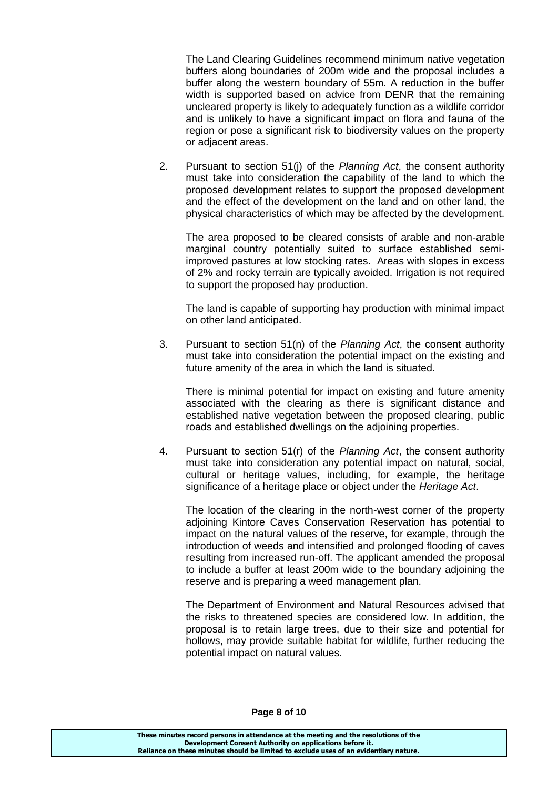The Land Clearing Guidelines recommend minimum native vegetation buffers along boundaries of 200m wide and the proposal includes a buffer along the western boundary of 55m. A reduction in the buffer width is supported based on advice from DENR that the remaining uncleared property is likely to adequately function as a wildlife corridor and is unlikely to have a significant impact on flora and fauna of the region or pose a significant risk to biodiversity values on the property or adjacent areas.

2. Pursuant to section 51(j) of the *Planning Act*, the consent authority must take into consideration the capability of the land to which the proposed development relates to support the proposed development and the effect of the development on the land and on other land, the physical characteristics of which may be affected by the development.

The area proposed to be cleared consists of arable and non-arable marginal country potentially suited to surface established semiimproved pastures at low stocking rates. Areas with slopes in excess of 2% and rocky terrain are typically avoided. Irrigation is not required to support the proposed hay production.

The land is capable of supporting hay production with minimal impact on other land anticipated.

3. Pursuant to section 51(n) of the *Planning Act*, the consent authority must take into consideration the potential impact on the existing and future amenity of the area in which the land is situated.

There is minimal potential for impact on existing and future amenity associated with the clearing as there is significant distance and established native vegetation between the proposed clearing, public roads and established dwellings on the adjoining properties.

4. Pursuant to section 51(r) of the *Planning Act*, the consent authority must take into consideration any potential impact on natural, social, cultural or heritage values, including, for example, the heritage significance of a heritage place or object under the *Heritage Act*.

The location of the clearing in the north-west corner of the property adjoining Kintore Caves Conservation Reservation has potential to impact on the natural values of the reserve, for example, through the introduction of weeds and intensified and prolonged flooding of caves resulting from increased run-off. The applicant amended the proposal to include a buffer at least 200m wide to the boundary adjoining the reserve and is preparing a weed management plan.

The Department of Environment and Natural Resources advised that the risks to threatened species are considered low. In addition, the proposal is to retain large trees, due to their size and potential for hollows, may provide suitable habitat for wildlife, further reducing the potential impact on natural values.

#### **These minutes record persons in attendance at the meeting and the resolutions of the Development Consent Authority on applications before it. Reliance on these minutes should be limited to exclude uses of an evidentiary nature.**

#### **Page 8 of 10**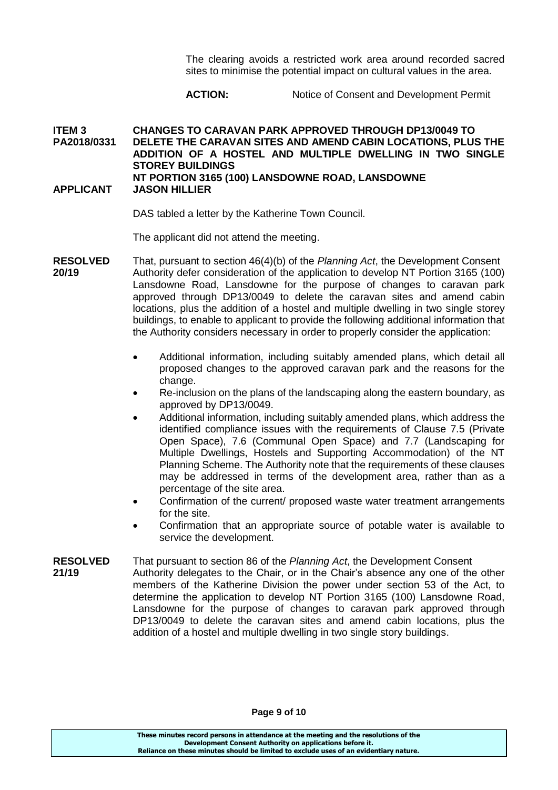The clearing avoids a restricted work area around recorded sacred sites to minimise the potential impact on cultural values in the area.

### **ACTION:** Notice of Consent and Development Permit

#### **ITEM 3 CHANGES TO CARAVAN PARK APPROVED THROUGH DP13/0049 TO PA2018/0331 DELETE THE CARAVAN SITES AND AMEND CABIN LOCATIONS, PLUS THE ADDITION OF A HOSTEL AND MULTIPLE DWELLING IN TWO SINGLE STOREY BUILDINGS NT PORTION 3165 (100) LANSDOWNE ROAD, LANSDOWNE APPLICANT JASON HILLIER**

#### DAS tabled a letter by the Katherine Town Council.

The applicant did not attend the meeting.

- **RESOLVED** That, pursuant to section 46(4)(b) of the *Planning Act*, the Development Consent **20/19** Authority defer consideration of the application to develop NT Portion 3165 (100) Lansdowne Road, Lansdowne for the purpose of changes to caravan park approved through DP13/0049 to delete the caravan sites and amend cabin locations, plus the addition of a hostel and multiple dwelling in two single storey buildings, to enable to applicant to provide the following additional information that the Authority considers necessary in order to properly consider the application:
	- Additional information, including suitably amended plans, which detail all proposed changes to the approved caravan park and the reasons for the change.
	- Re-inclusion on the plans of the landscaping along the eastern boundary, as approved by DP13/0049.
	- Additional information, including suitably amended plans, which address the identified compliance issues with the requirements of Clause 7.5 (Private Open Space), 7.6 (Communal Open Space) and 7.7 (Landscaping for Multiple Dwellings, Hostels and Supporting Accommodation) of the NT Planning Scheme. The Authority note that the requirements of these clauses may be addressed in terms of the development area, rather than as a percentage of the site area.
	- Confirmation of the current/ proposed waste water treatment arrangements for the site.
	- Confirmation that an appropriate source of potable water is available to service the development.

#### **RESOLVED** That pursuant to section 86 of the *Planning Act*, the Development Consent

**21/19** Authority delegates to the Chair, or in the Chair's absence any one of the other members of the Katherine Division the power under section 53 of the Act, to determine the application to develop NT Portion 3165 (100) Lansdowne Road, Lansdowne for the purpose of changes to caravan park approved through DP13/0049 to delete the caravan sites and amend cabin locations, plus the addition of a hostel and multiple dwelling in two single story buildings.

**Page 9 of 10**